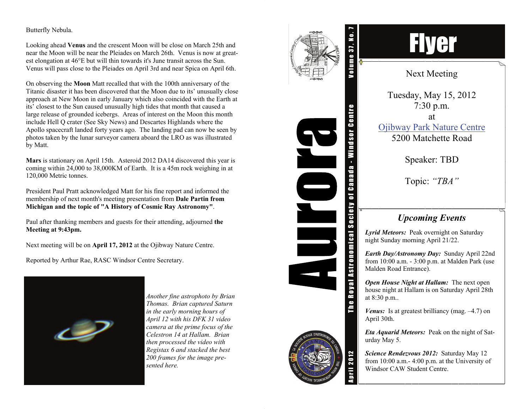## Butterfly Nebula.

Looking ahead **Venus** and the crescent Moon will be close on March 25th and near the Moon will be near the Pleiades on March 26th. Venus is now at greatest elongation at 46°E but will thin towards it's June transit across the Sun. Venus will pass close to the Pleiades on April 3rd and near Spica on April 6th.

On observing the **Moon** Matt recalled that with the 100th anniversary of the Titanic disaster it has been discovered that the Moon due to its' unusually close approach at New Moon in early January which also coincided with the Earth at its' closest to the Sun caused unusually high tides that month that caused a large release of grounded icebergs. Areas of interest on the Moon this month include Hell Q crater (See Sky News) and Descartes Highlands where the Apollo spacecraft landed forty years ago. The landing pad can now be seen by photos taken by the lunar surveyor camera aboard the LRO as was illustrated by Matt.

**Mars** is stationary on April 15th. Asteroid 2012 DA14 discovered this year is coming within 24,000 to 38,000KM of Earth. It is a 45m rock weighing in at 120,000 Metric tonnes.

President Paul Pratt acknowledged Matt for his fine report and informed the membership of next month's meeting presentation from **Dale Partin from Michigan and the topic of "A History of Cosmic Ray Astronomy"**.

Paul after thanking members and guests for their attending, adjourned **the Meeting at 9:43pm.** 

Next meeting will be on **April 17, 2012** at the Ojibway Nature Centre.

Reported by Arthur Rae, RASC Windsor Centre Secretary.



*Another fine astrophoto by Brian Thomas. Brian captured Saturn in the early morning hours of April 12 with his DFK 31 video camera at the prime focus of the Celestron 14 at Hallam. Brian then processed the video with Registax 6 and stacked the best 200 frames for the image presented here.* 





## Flyer

Next Meeting

Tuesday, May 15, 2012 7:30 p.m. at [Ojibway Park Nature Centre](http://www.ojibway.ca/index.htm) 5200 Matchette Road

Speaker: TBD

Topic: *"TBA"* 

## *Upcoming Events*

*Lyrid Meteors:* Peak overnight on Saturday night Sunday morning April 21/22.

*Earth Day/Astronomy Day:* Sunday April 22nd from 10:00 a.m. - 3:00 p.m. at Malden Park (use Malden Road Entrance).

*Open House Night at Hallam:* The next open house night at Hallam is on Saturday April 28th at 8:30 p.m..

*Venus:* Is at greatest brilliancy (mag.  $-4.7$ ) on April 30th.

*Eta Aquarid Meteors:* Peak on the night of Saturday May 5.

*Science Rendezvous 2012:* Saturday May 12 from 10:00 a.m.- 4:00 p.m. at the University of Windsor CAW Student Centre.